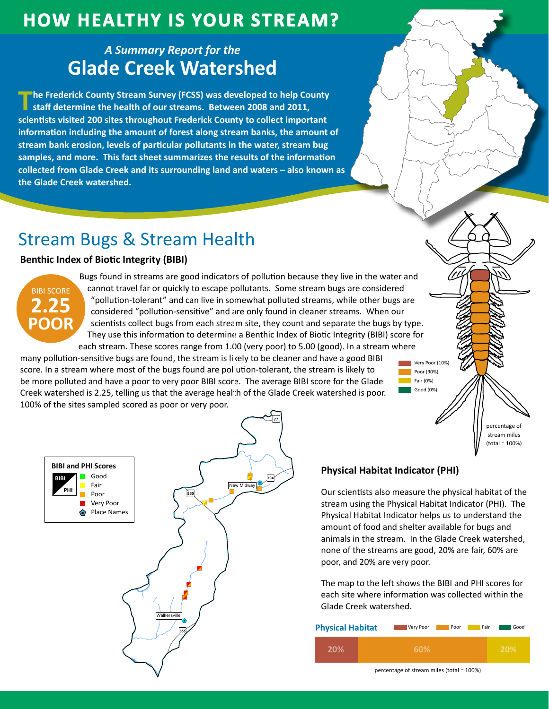### **How HealtHy is Your Stream?**

### *A Summary Report for the* **Glade Creek Watershed**

**The Frederick County Stream Survey (FCSS) was developed to help County staff determine the health of our streams. Between 2008 and 2011, scientists visited 200 sites throughout Frederick County to collect important information including the amount of forest along stream banks, the amount of stream bank erosion, levels of particular pollutants in the water, stream bug samples, and more. This fact sheet summarizes the results of the information collected from Glade Creek and its surrounding land and waters – also known as the Glade Creek watershed.**

# Stream Bugs & Stream Health

#### **Benthic Index of Biotic Integrity (BIBI)**



Bugs found in streams are good indicators of pollution because they live in the water and cannot travel far or quickly to escape pollutants. Some stream bugs are considered "pollution-tolerant" and can live in somewhat polluted streams, while other bugs are considered "pollution-sensitive" and are only found in cleaner streams. When our scientists collect bugs from each stream site, they count and separate the bugs by type. They use this information to determine a Benthic Index of Biotic Integrity (BIBI) score for each stream. These scores range from 1.00 (very poor) to 5.00 (good). In a stream where

many pollution-sensitive bugs are found, the stream is likely to be cleaner and have a good BIBI score. In a stream where most of the bugs found are pollution-tolerant, the stream is likely to be more polluted and have a poor to very poor BIBI score. The average BIBI score for the Glade Creek watershed is 2.25, telling us that the average health of the Glade Creek watershed is poor. 100% of the sites sampled scored as poor or very poor.



### **Physical Habitat Indicator (PHI)**

Our scientists also measure the physical habitat of the stream using the Physical Habitat Indicator (PHI). The Physical Habitat Indicator helps us to understand the amount of food and shelter available for bugs and animals in the stream. In the Glade Creek watershed, none of the streams are good, 20% are fair, 60% are poor, and 20% are very poor.

Very Poor (10%) **Poor (90%)** Fair  $(0%)$ Good (0%)

> percentage of stream miles (total = 100%)

The map to the left shows the BIBI and PHI scores for each site where information was collected within the Glade Creek watershed.

| <b>Physical Habitat</b> | Very Poor | Good<br>Fair<br>Poor |
|-------------------------|-----------|----------------------|
|                         | 60%       | 20%                  |

percentage of stream miles (total = 100%)